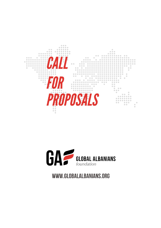



# WWW.GLOBALALBANIANS.ORG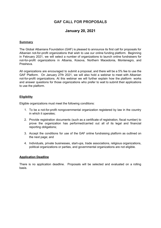## **GAF CALL FOR PROPOSALS**

### **January 20, 2021**

#### **Summary**

The Global Albanians Foundation (GAF) is pleased to announce its first call for proposals for Albanian not-for-profit organizations that wish to use our online funding platform. Beginning in February 2021, we will select a number of organizations to launch online fundraisers for not-for-profit organizations in Albania, Kosova, Northern Macedonia, Montenegro, and Presheva.

All organizations are encouraged to submit a proposal, and there will be a 5% fee to use the GAF Platform. On January 27th 2021, we will also hold a webinar to meet with Albanian not-for-profit organizations. At this webinar we will further explain how the platform works and answer questions for those organizations who prefer to wait to submit their applications to use the platform.

#### **Eligibility**

Eligible organizations must meet the following conditions:

- 1. To be a not-for-profit nongovernmental organization registered by law in the country in which it operates;
- 2. Provide registration documents (such as a certificate of registration, fiscal number) to prove the organization has performed/carried out all of its legal and financial reporting obligations;
- 3. Accept the conditions for use of the GAF online fundraising platform as outlined on the next page; and
- 4. Individuals, private businesses, start-ups, trade associations, religious organizations, political organizations or parties, and governmental organizations are not eligible.

#### **Application Deadline**

There is no application deadline. Proposals will be selected and evaluated on a rolling basis.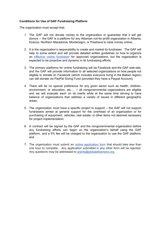#### **Conditions for Use of GAF Fundraising Platform**

The organization must accept that:

- 1. The GAF will not donate money to the organization or guarantee that it will get donors -- the GAF is a platform for any Albanian not-for-profit organization in Albania, Kosova, Northern Macedonia, Montenegro, or Presheva to raise money online;
- 2. It is the organization's responsibility to create and market its fundraiser. The GAF will help to some extent and will provide detailed written guidelines on how to organize an effective online [fundraiser](https://www.facebook.com/donate/380694165989756/) for approved organizations, but the organization is expected to be proactive and dynamic in its fundraising efforts;
- 3. The primary platforms for online fundraising will be Facebook and the GAF web-site, and the GAF will provide information to all selected organizations on how people not eligible to donate on Facebook (which includes everyone living in the Balkan region) can still donate via PayPal Giving Fund (provided they have a Paypal Account);
- 4. There will be no special preference for any given sector such as health, children, environment, or education, etc.... -- all nongovernmental organizations are eligible and we will evaluate each on its merits while at the same time striving to have balance of organizations that address a variety of issues in different geographic areas;
- 5. The organization must have a specific project to support -- the GAF will not support fundraisers aimed at general support for the overhead of an organization or for purchasing of equipment, vehicles, real estate, or other items not deemed necessary for project implementation;
- 6. A contract will be signed by the GAF and the nongovernmental organization before any fundraising efforts can begin on the organization's behalf using the GAF platform, and a 5% fee will be charged to the organization to use the GAF platform; and
- 7. The organization must submit an **online [application](https://www.surveymonkey.com/r/GAF_Applikimi) form** that should take less than one hour to complete.. Any application submitted in any other form will be rejected. Any questions may be addressed to [grants@globalalbanians.org](mailto:grants@globalalbanians.org).